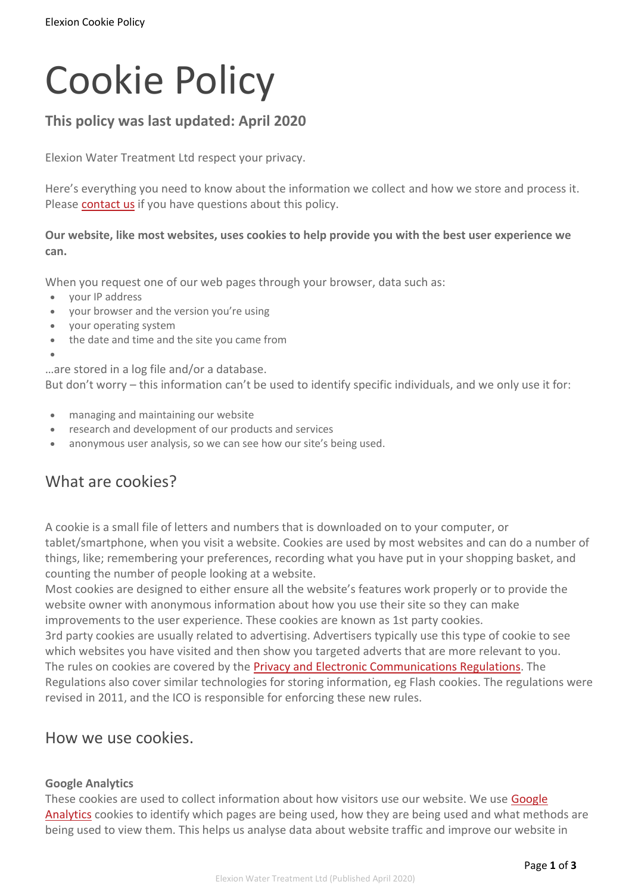# Cookie Policy

## **This policy was last updated: April 2020**

Elexion Water Treatment Ltd respect your privacy.

Here's everything you need to know about the information we collect and how we store and process it. Please [contact](https://www.elexion.uk/contact) us if you have questions about this policy.

#### **Our website, like most websites, uses cookies to help provide you with the best user experience we can.**

When you request one of our web pages through your browser, data such as:

- your IP address
- your browser and the version you're using
- your operating system
- the date and time and the site you came from
- •

…are stored in a log file and/or a database.

But don't worry – this information can't be used to identify specific individuals, and we only use it for:

- managing and maintaining our website
- research and development of our products and services
- anonymous user analysis, so we can see how our site's being used.

# What are cookies?

A cookie is a small file of letters and numbers that is downloaded on to your computer, or tablet/smartphone, when you visit a website. Cookies are used by most websites and can do a number of things, like; remembering your preferences, recording what you have put in your shopping basket, and counting the number of people looking at a website.

Most cookies are designed to either ensure all the website's features work properly or to provide the website owner with anonymous information about how you use their site so they can make improvements to the user experience. These cookies are known as 1st party cookies.

3rd party cookies are usually related to advertising. Advertisers typically use this type of cookie to see which websites you have visited and then show you targeted adverts that are more relevant to you. The rules on cookies are covered by the Privacy and Electronic [Communications](https://ico.org.uk/for-organisations/guide-to-pecr/) Regulations. The Regulations also cover similar technologies for storing information, eg Flash cookies. The regulations were revised in 2011, and the ICO is responsible for enforcing these new rules.

### How we use cookies.

#### **Google Analytics**

These cookies are used to collect information about how visitors use our website. We use [Google](http://www.google.com/analytics/) [Analytics](http://www.google.com/analytics/) cookies to identify which pages are being used, how they are being used and what methods are being used to view them. This helps us analyse data about website traffic and improve our website in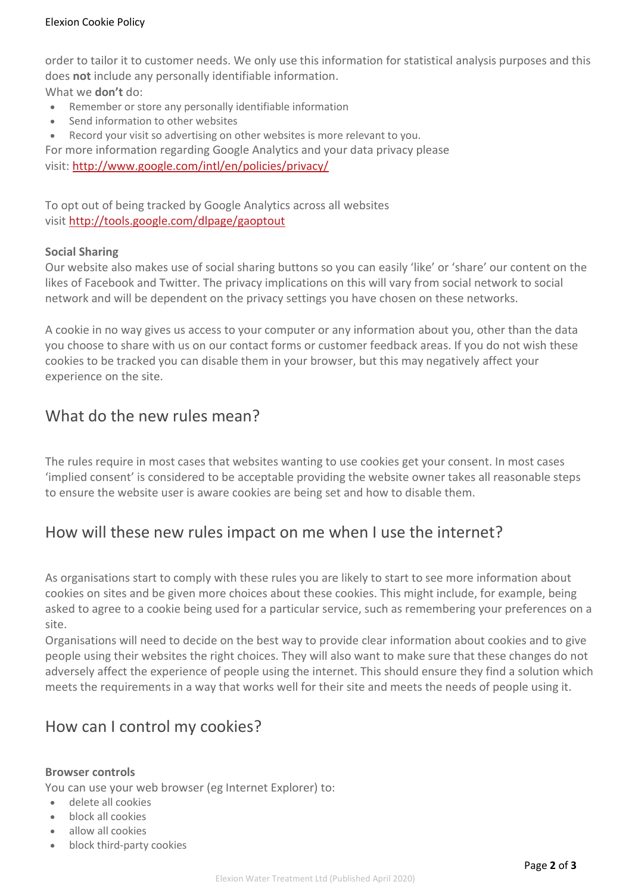order to tailor it to customer needs. We only use this information for statistical analysis purposes and this does **not** include any personally identifiable information.

What we **don't** do:

- Remember or store any personally identifiable information
- Send information to other websites
- Record your visit so advertising on other websites is more relevant to you.

For more information regarding Google Analytics and your data privacy please visit: <http://www.google.com/intl/en/policies/privacy/>

To opt out of being tracked by Google Analytics across all websites visit <http://tools.google.com/dlpage/gaoptout>

#### **Social Sharing**

Our website also makes use of social sharing buttons so you can easily 'like' or 'share' our content on the likes of Facebook and Twitter. The privacy implications on this will vary from social network to social network and will be dependent on the privacy settings you have chosen on these networks.

A cookie in no way gives us access to your computer or any information about you, other than the data you choose to share with us on our contact forms or customer feedback areas. If you do not wish these cookies to be tracked you can disable them in your browser, but this may negatively affect your experience on the site.

## What do the new rules mean?

The rules require in most cases that websites wanting to use cookies get your consent. In most cases 'implied consent' is considered to be acceptable providing the website owner takes all reasonable steps to ensure the website user is aware cookies are being set and how to disable them.

## How will these new rules impact on me when I use the internet?

As organisations start to comply with these rules you are likely to start to see more information about cookies on sites and be given more choices about these cookies. This might include, for example, being asked to agree to a cookie being used for a particular service, such as remembering your preferences on a site.

Organisations will need to decide on the best way to provide clear information about cookies and to give people using their websites the right choices. They will also want to make sure that these changes do not adversely affect the experience of people using the internet. This should ensure they find a solution which meets the requirements in a way that works well for their site and meets the needs of people using it.

## How can I control my cookies?

#### **Browser controls**

You can use your web browser (eg Internet Explorer) to:

- delete all cookies
- block all cookies
- allow all cookies
- block third-party cookies